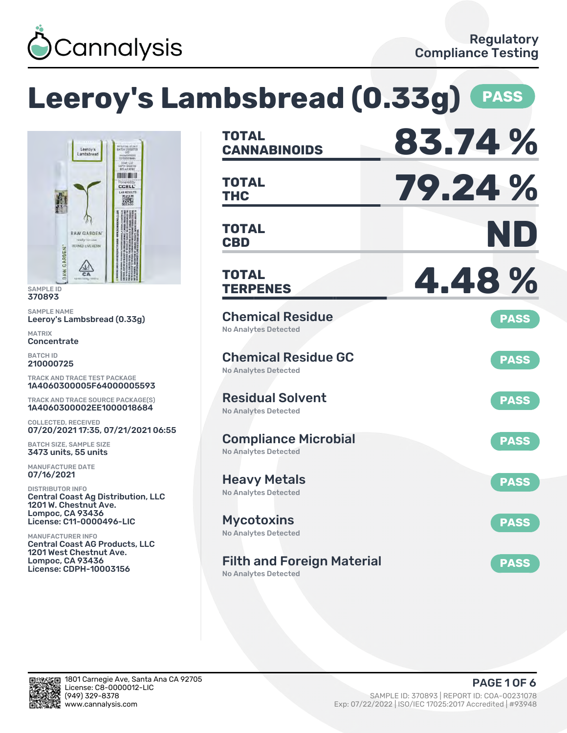

# **Leeroy's Lambsbread (0.33g) PASS**



SAMPLE ID 370893

SAMPLE NAME Leeroy's Lambsbread (0.33g)

MATRIX **Concentrate** 

BATCH ID 210000725

TRACK AND TRACE TEST PACKAGE 1A4060300005F64000005593

TRACK AND TRACE SOURCE PACKAGE(S) 1A4060300002EE1000018684

COLLECTED, RECEIVED 07/20/2021 17:35, 07/21/2021 06:55

BATCH SIZE, SAMPLE SIZE 3473 units, 55 units

MANUFACTURE DATE 07/16/2021

DISTRIBUTOR INFO Central Coast Ag Distribution, LLC 1201 W. Chestnut Ave. Lompoc, CA 93436 License: C11-0000496-LIC

MANUFACTURER INFO Central Coast AG Products, LLC 1201 West Chestnut Ave. Lompoc, CA 93436 License: CDPH-10003156

| <b>TOTAL</b><br><b>CANNABINOIDS</b>                              | 83.74%      |
|------------------------------------------------------------------|-------------|
| <b>TOTAL</b><br><b>THC</b>                                       | 79.24%      |
| <b>TOTAL</b><br><b>CBD</b>                                       | ND          |
| <b>TOTAL</b><br><b>TERPENES</b>                                  | 4.48%       |
| <b>Chemical Residue</b><br><b>No Analytes Detected</b>           | <b>PASS</b> |
| <b>Chemical Residue GC</b><br><b>No Analytes Detected</b>        | <b>PASS</b> |
| <b>Residual Solvent</b><br><b>No Analytes Detected</b>           | <b>PASS</b> |
| <b>Compliance Microbial</b><br><b>No Analytes Detected</b>       | <b>PASS</b> |
| <b>Heavy Metals</b><br><b>No Analytes Detected</b>               | <b>PASS</b> |
| <b>Mycotoxins</b><br>No Analytes Detected                        | <b>PASS</b> |
| <b>Filth and Foreign Material</b><br><b>No Analytes Detected</b> | <b>PASS</b> |

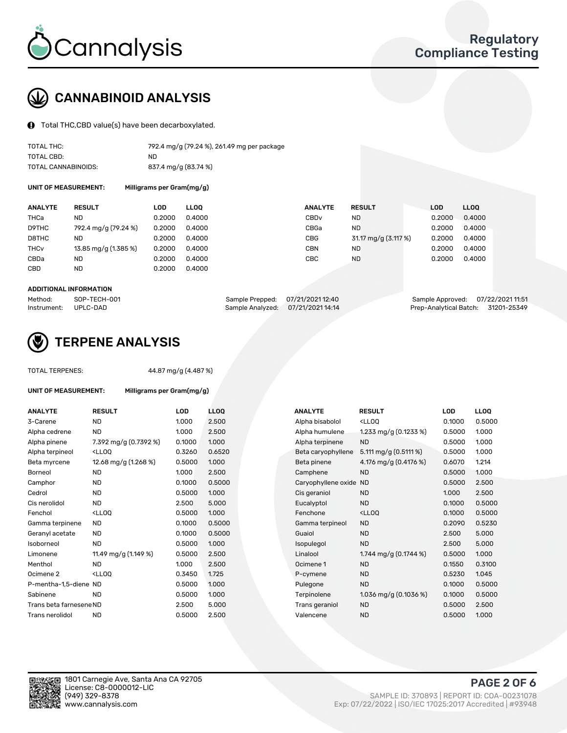

# CANNABINOID ANALYSIS

Total THC,CBD value(s) have been decarboxylated.

| TOTAL THC:          | 792.4 mg/g (79.24 %), 261.49 mg per package |
|---------------------|---------------------------------------------|
| TOTAL CBD:          | ND.                                         |
| TOTAL CANNABINOIDS: | 837.4 mg/g (83.74 %)                        |

UNIT OF MEASUREMENT: Milligrams per Gram(mg/g)

| <b>ANALYTE</b>         | <b>RESULT</b>        | LOD    | <b>LLOO</b> | <b>ANALYTE</b>   | <b>RESULT</b>        | <b>LOD</b> | LLOO   |
|------------------------|----------------------|--------|-------------|------------------|----------------------|------------|--------|
| THCa                   | ND                   | 0.2000 | 0.4000      | CBD <sub>v</sub> | ND.                  | 0.2000     | 0.4000 |
| D9THC                  | 792.4 mg/g (79.24 %) | 0.2000 | 0.4000      | CBGa             | ND.                  | 0.2000     | 0.4000 |
| D8THC                  | <b>ND</b>            | 0.2000 | 0.4000      | CBG              | 31.17 mg/g (3.117 %) | 0.2000     | 0.4000 |
| <b>THC<sub>v</sub></b> | 13.85 mg/g (1.385 %) | 0.2000 | 0.4000      | CBN              | ND.                  | 0.2000     | 0.4000 |
| CBDa                   | <b>ND</b>            | 0.2000 | 0.4000      | CBC              | <b>ND</b>            | 0.2000     | 0.4000 |
| <b>CBD</b>             | ND                   | 0.2000 | 0.4000      |                  |                      |            |        |
|                        |                      |        |             |                  |                      |            |        |

#### ADDITIONAL INFORMATION

| Method:              | SOP-TECH-001 | Sample Prepped: 07/21/2021 12:40  | Sample Approved: 07/22/2021 11:51  |  |
|----------------------|--------------|-----------------------------------|------------------------------------|--|
| Instrument: UPLC-DAD |              | Sample Analyzed: 07/21/2021 14:14 | Prep-Analytical Batch: 31201-25349 |  |



## TERPENE ANALYSIS

UNIT OF MEASUREMENT: Milligrams per Gram(mg/g)

| TUTAL TERPENES: |  |
|-----------------|--|
|                 |  |
|                 |  |

TOTAL TERPENES: 44.87 mg/g (4.487 %)

| <b>ANALYTE</b>          | <b>RESULT</b>                                                                                                                                                   | <b>LOD</b> | <b>LLOQ</b> |  | <b>ANALYTE</b>         | <b>RESULT</b>                                       | <b>LOD</b> | <b>LLOQ</b> |
|-------------------------|-----------------------------------------------------------------------------------------------------------------------------------------------------------------|------------|-------------|--|------------------------|-----------------------------------------------------|------------|-------------|
| 3-Carene                | <b>ND</b>                                                                                                                                                       | 1.000      | 2.500       |  | Alpha bisabolol        | <lloq< td=""><td>0.1000</td><td>0.5000</td></lloq<> | 0.1000     | 0.5000      |
| Alpha cedrene           | <b>ND</b>                                                                                                                                                       | 1.000      | 2.500       |  | Alpha humulene         | 1.233 mg/g $(0.1233\%)$                             | 0.5000     | 1.000       |
| Alpha pinene            | 7.392 mg/g (0.7392 %)                                                                                                                                           | 0.1000     | 1.000       |  | Alpha terpinene        | <b>ND</b>                                           | 0.5000     | 1.000       |
| Alpha terpineol         | <lloq< td=""><td>0.3260</td><td>0.6520</td><td></td><td>Beta caryophyllene</td><td>5.111 mg/g <math>(0.5111\%)</math></td><td>0.5000</td><td>1.000</td></lloq<> | 0.3260     | 0.6520      |  | Beta caryophyllene     | 5.111 mg/g $(0.5111\%)$                             | 0.5000     | 1.000       |
| Beta myrcene            | 12.68 mg/g (1.268 %)                                                                                                                                            | 0.5000     | 1.000       |  | Beta pinene            | 4.176 mg/g (0.4176 %)                               | 0.6070     | 1.214       |
| <b>Borneol</b>          | <b>ND</b>                                                                                                                                                       | 1.000      | 2.500       |  | Camphene               | <b>ND</b>                                           | 0.5000     | 1.000       |
| Camphor                 | <b>ND</b>                                                                                                                                                       | 0.1000     | 0.5000      |  | Caryophyllene oxide ND |                                                     | 0.5000     | 2.500       |
| Cedrol                  | <b>ND</b>                                                                                                                                                       | 0.5000     | 1.000       |  | Cis geraniol           | <b>ND</b>                                           | 1.000      | 2.500       |
| Cis nerolidol           | <b>ND</b>                                                                                                                                                       | 2.500      | 5.000       |  | Eucalyptol             | <b>ND</b>                                           | 0.1000     | 0.5000      |
| Fenchol                 | <ll0q< td=""><td>0.5000</td><td>1.000</td><td></td><td>Fenchone</td><td><ll0q< td=""><td>0.1000</td><td>0.5000</td></ll0q<></td></ll0q<>                        | 0.5000     | 1.000       |  | Fenchone               | <ll0q< td=""><td>0.1000</td><td>0.5000</td></ll0q<> | 0.1000     | 0.5000      |
| Gamma terpinene         | <b>ND</b>                                                                                                                                                       | 0.1000     | 0.5000      |  | Gamma terpineol        | <b>ND</b>                                           | 0.2090     | 0.5230      |
| Geranyl acetate         | <b>ND</b>                                                                                                                                                       | 0.1000     | 0.5000      |  | Guaiol                 | <b>ND</b>                                           | 2.500      | 5.000       |
| Isoborneol              | <b>ND</b>                                                                                                                                                       | 0.5000     | 1.000       |  | Isopulegol             | <b>ND</b>                                           | 2.500      | 5.000       |
| Limonene                | 11.49 mg/g (1.149 %)                                                                                                                                            | 0.5000     | 2.500       |  | Linalool               | 1.744 mg/g (0.1744 %)                               | 0.5000     | 1.000       |
| Menthol                 | <b>ND</b>                                                                                                                                                       | 1.000      | 2.500       |  | Ocimene 1              | <b>ND</b>                                           | 0.1550     | 0.3100      |
| Ocimene <sub>2</sub>    | <ll0q< td=""><td>0.3450</td><td>1.725</td><td></td><td>P-cymene</td><td><b>ND</b></td><td>0.5230</td><td>1.045</td></ll0q<>                                     | 0.3450     | 1.725       |  | P-cymene               | <b>ND</b>                                           | 0.5230     | 1.045       |
| P-mentha-1.5-diene ND   |                                                                                                                                                                 | 0.5000     | 1.000       |  | Pulegone               | <b>ND</b>                                           | 0.1000     | 0.5000      |
| Sabinene                | <b>ND</b>                                                                                                                                                       | 0.5000     | 1.000       |  | Terpinolene            | 1.036 mg/g $(0.1036\%)$                             | 0.1000     | 0.5000      |
| Trans beta farnesene ND |                                                                                                                                                                 | 2.500      | 5.000       |  | Trans geraniol         | <b>ND</b>                                           | 0.5000     | 2.500       |
| Trans nerolidol         | <b>ND</b>                                                                                                                                                       | 0.5000     | 2.500       |  | Valencene              | <b>ND</b>                                           | 0.5000     | 1.000       |

| <b>ANALYTE</b>      | <b>RESULT</b>                                       | LOD    | LL <sub>OO</sub> |
|---------------------|-----------------------------------------------------|--------|------------------|
| Alpha bisabolol     | <lloq< td=""><td>0.1000</td><td>0.5000</td></lloq<> | 0.1000 | 0.5000           |
| Alpha humulene      | 1.233 mg/g $(0.1233\%)$                             | 0.5000 | 1.000            |
| Alpha terpinene     | <b>ND</b>                                           | 0.5000 | 1.000            |
| Beta caryophyllene  | 5.111 mg/g $(0.5111%)$                              | 0.5000 | 1.000            |
| Beta pinene         | 4.176 mg/g (0.4176 %)                               | 0.6070 | 1.214            |
| Camphene            | <b>ND</b>                                           | 0.5000 | 1.000            |
| Caryophyllene oxide | <b>ND</b>                                           | 0.5000 | 2.500            |
| Cis geraniol        | <b>ND</b>                                           | 1.000  | 2.500            |
| Eucalyptol          | <b>ND</b>                                           | 0.1000 | 0.5000           |
| Fenchone            | $<$ LLOO                                            | 0.1000 | 0.5000           |
| Gamma terpineol     | <b>ND</b>                                           | 0.2090 | 0.5230           |
| Guaiol              | <b>ND</b>                                           | 2.500  | 5.000            |
| <b>sopulegol</b>    | <b>ND</b>                                           | 2.500  | 5.000            |
| Linalool            | 1.744 mg/g (0.1744 %)                               | 0.5000 | 1.000            |
| Ocimene 1           | <b>ND</b>                                           | 0.1550 | 0.3100           |
| P-cymene            | <b>ND</b>                                           | 0.5230 | 1.045            |
| Pulegone            | <b>ND</b>                                           | 0.1000 | 0.5000           |
| Terpinolene         | 1.036 mg/g $(0.1036\%)$                             | 0.1000 | 0.5000           |
| Trans geraniol      | <b>ND</b>                                           | 0.5000 | 2.500            |
| Valencene           | <b>ND</b>                                           | 0.5000 | 1.000            |

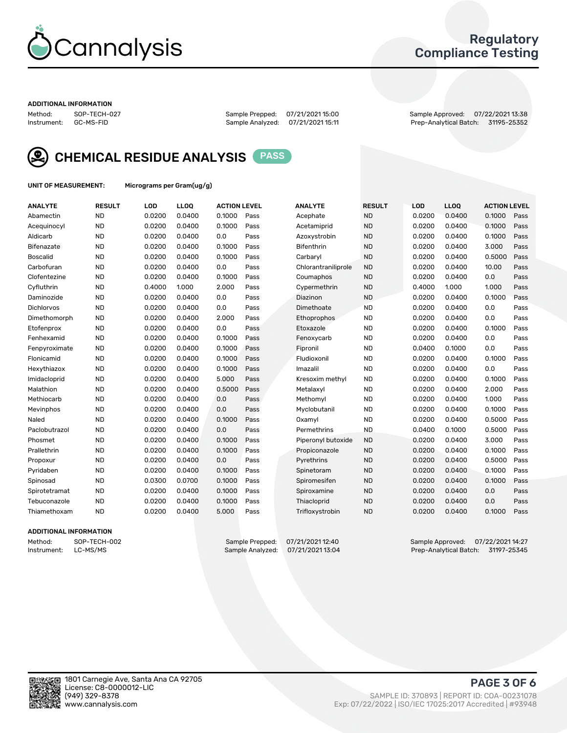

### Regulatory Compliance Testing

#### ADDITIONAL INFORMATION

Method: SOP-TECH-027 Sample Prepped: 07/21/2021 15:00 Sample Approved: 07/22/2021 13:38 Prep-Analytical Batch: 31195-25352



CHEMICAL RESIDUE ANALYSIS PASS

UNIT OF MEASUREMENT: Micrograms per Gram(ug/g)

| <b>ANALYTE</b>    | <b>RESULT</b> | LOD    | LL <sub>OO</sub> | <b>ACTION LEVEL</b> |      | <b>ANALYTE</b>      | <b>RESULT</b> | <b>LOD</b> | <b>LLOQ</b> | <b>ACTION LEVEL</b> |      |
|-------------------|---------------|--------|------------------|---------------------|------|---------------------|---------------|------------|-------------|---------------------|------|
| Abamectin         | <b>ND</b>     | 0.0200 | 0.0400           | 0.1000              | Pass | Acephate            | <b>ND</b>     | 0.0200     | 0.0400      | 0.1000              | Pass |
| Acequinocyl       | <b>ND</b>     | 0.0200 | 0.0400           | 0.1000              | Pass | Acetamiprid         | <b>ND</b>     | 0.0200     | 0.0400      | 0.1000              | Pass |
| Aldicarb          | <b>ND</b>     | 0.0200 | 0.0400           | 0.0                 | Pass | Azoxystrobin        | <b>ND</b>     | 0.0200     | 0.0400      | 0.1000              | Pass |
| Bifenazate        | <b>ND</b>     | 0.0200 | 0.0400           | 0.1000              | Pass | <b>Bifenthrin</b>   | <b>ND</b>     | 0.0200     | 0.0400      | 3.000               | Pass |
| <b>Boscalid</b>   | <b>ND</b>     | 0.0200 | 0.0400           | 0.1000              | Pass | Carbaryl            | <b>ND</b>     | 0.0200     | 0.0400      | 0.5000              | Pass |
| Carbofuran        | <b>ND</b>     | 0.0200 | 0.0400           | 0.0                 | Pass | Chlorantraniliprole | <b>ND</b>     | 0.0200     | 0.0400      | 10.00               | Pass |
| Clofentezine      | <b>ND</b>     | 0.0200 | 0.0400           | 0.1000              | Pass | Coumaphos           | <b>ND</b>     | 0.0200     | 0.0400      | 0.0                 | Pass |
| Cyfluthrin        | <b>ND</b>     | 0.4000 | 1.000            | 2.000               | Pass | Cypermethrin        | <b>ND</b>     | 0.4000     | 1.000       | 1.000               | Pass |
| Daminozide        | <b>ND</b>     | 0.0200 | 0.0400           | 0.0                 | Pass | Diazinon            | <b>ND</b>     | 0.0200     | 0.0400      | 0.1000              | Pass |
| <b>Dichlorvos</b> | <b>ND</b>     | 0.0200 | 0.0400           | 0.0                 | Pass | Dimethoate          | <b>ND</b>     | 0.0200     | 0.0400      | 0.0                 | Pass |
| Dimethomorph      | <b>ND</b>     | 0.0200 | 0.0400           | 2.000               | Pass | <b>Ethoprophos</b>  | <b>ND</b>     | 0.0200     | 0.0400      | 0.0                 | Pass |
| Etofenprox        | <b>ND</b>     | 0.0200 | 0.0400           | 0.0                 | Pass | Etoxazole           | <b>ND</b>     | 0.0200     | 0.0400      | 0.1000              | Pass |
| Fenhexamid        | <b>ND</b>     | 0.0200 | 0.0400           | 0.1000              | Pass | Fenoxycarb          | <b>ND</b>     | 0.0200     | 0.0400      | 0.0                 | Pass |
| Fenpyroximate     | <b>ND</b>     | 0.0200 | 0.0400           | 0.1000              | Pass | Fipronil            | <b>ND</b>     | 0.0400     | 0.1000      | 0.0                 | Pass |
| Flonicamid        | <b>ND</b>     | 0.0200 | 0.0400           | 0.1000              | Pass | Fludioxonil         | <b>ND</b>     | 0.0200     | 0.0400      | 0.1000              | Pass |
| Hexythiazox       | <b>ND</b>     | 0.0200 | 0.0400           | 0.1000              | Pass | Imazalil            | <b>ND</b>     | 0.0200     | 0.0400      | 0.0                 | Pass |
| Imidacloprid      | <b>ND</b>     | 0.0200 | 0.0400           | 5.000               | Pass | Kresoxim methyl     | <b>ND</b>     | 0.0200     | 0.0400      | 0.1000              | Pass |
| Malathion         | <b>ND</b>     | 0.0200 | 0.0400           | 0.5000              | Pass | Metalaxyl           | <b>ND</b>     | 0.0200     | 0.0400      | 2.000               | Pass |
| Methiocarb        | <b>ND</b>     | 0.0200 | 0.0400           | 0.0                 | Pass | Methomyl            | <b>ND</b>     | 0.0200     | 0.0400      | 1.000               | Pass |
| Mevinphos         | <b>ND</b>     | 0.0200 | 0.0400           | 0.0                 | Pass | Myclobutanil        | <b>ND</b>     | 0.0200     | 0.0400      | 0.1000              | Pass |
| Naled             | <b>ND</b>     | 0.0200 | 0.0400           | 0.1000              | Pass | Oxamyl              | <b>ND</b>     | 0.0200     | 0.0400      | 0.5000              | Pass |
| Paclobutrazol     | <b>ND</b>     | 0.0200 | 0.0400           | 0.0                 | Pass | Permethrins         | <b>ND</b>     | 0.0400     | 0.1000      | 0.5000              | Pass |
| Phosmet           | <b>ND</b>     | 0.0200 | 0.0400           | 0.1000              | Pass | Piperonyl butoxide  | <b>ND</b>     | 0.0200     | 0.0400      | 3.000               | Pass |
| Prallethrin       | <b>ND</b>     | 0.0200 | 0.0400           | 0.1000              | Pass | Propiconazole       | <b>ND</b>     | 0.0200     | 0.0400      | 0.1000              | Pass |
| Propoxur          | <b>ND</b>     | 0.0200 | 0.0400           | 0.0                 | Pass | Pyrethrins          | <b>ND</b>     | 0.0200     | 0.0400      | 0.5000              | Pass |
| Pyridaben         | <b>ND</b>     | 0.0200 | 0.0400           | 0.1000              | Pass | Spinetoram          | <b>ND</b>     | 0.0200     | 0.0400      | 0.1000              | Pass |
| Spinosad          | <b>ND</b>     | 0.0300 | 0.0700           | 0.1000              | Pass | Spiromesifen        | <b>ND</b>     | 0.0200     | 0.0400      | 0.1000              | Pass |
| Spirotetramat     | <b>ND</b>     | 0.0200 | 0.0400           | 0.1000              | Pass | Spiroxamine         | <b>ND</b>     | 0.0200     | 0.0400      | 0.0                 | Pass |
| Tebuconazole      | <b>ND</b>     | 0.0200 | 0.0400           | 0.1000              | Pass | Thiacloprid         | <b>ND</b>     | 0.0200     | 0.0400      | 0.0                 | Pass |
| Thiamethoxam      | <b>ND</b>     | 0.0200 | 0.0400           | 5.000               | Pass | Trifloxystrobin     | <b>ND</b>     | 0.0200     | 0.0400      | 0.1000              | Pass |

### ADDITIONAL INFORMATION

Method: SOP-TECH-002 Sample Prepped: 07/21/2021 12:40 Sample Approved: 07/22/2021 14:27<br>Instrument: LC-MS/MS Sample Analyzed: 07/21/2021 13:04 Prep-Analytical Batch: 31197-25345 Prep-Analytical Batch: 31197-25345

PAGE 3 OF 6

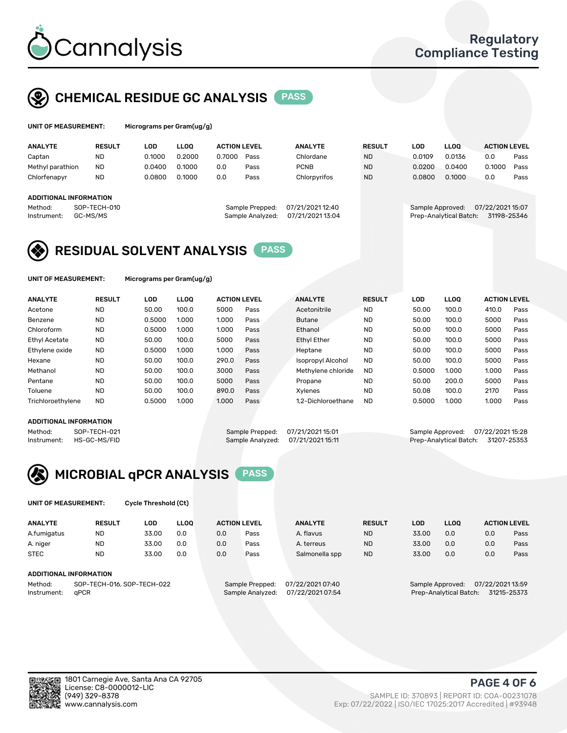

# CHEMICAL RESIDUE GC ANALYSIS PASS

| UNIT OF MEASUREMENT: | Micrograms pe |
|----------------------|---------------|
|                      |               |

er Gram(ug/g)

| <b>ANALYTE</b>                                   | <b>RESULT</b>            | LOD    | <b>LLOO</b> | <b>ACTION LEVEL</b> |                                     | <b>ANALYTE</b><br><b>RESULT</b>      |           | LOD |                  | <b>LLOO</b>            | <b>ACTION LEVEL</b>            |      |
|--------------------------------------------------|--------------------------|--------|-------------|---------------------|-------------------------------------|--------------------------------------|-----------|-----|------------------|------------------------|--------------------------------|------|
| Captan                                           | <b>ND</b>                | 0.1000 | 0.2000      | 0.7000              | Pass                                | Chlordane                            | <b>ND</b> |     | 0.0109           | 0.0136                 | 0.0                            | Pass |
| Methyl parathion                                 | <b>ND</b>                | 0.0400 | 0.1000      | 0.0                 | Pass                                | <b>PCNB</b>                          | <b>ND</b> |     | 0.0200           | 0.0400                 | 0.1000                         | Pass |
| Chlorfenapyr                                     | <b>ND</b>                | 0.0800 | 0.1000      | 0.0                 | Pass                                | Chlorpyrifos                         | <b>ND</b> |     | 0.0800           | 0.1000                 | 0.0                            | Pass |
| ADDITIONAL INFORMATION<br>Method:<br>Instrument: | SOP-TECH-010<br>GC-MS/MS |        |             |                     | Sample Prepped:<br>Sample Analyzed: | 07/21/2021 12:40<br>07/21/2021 13:04 |           |     | Sample Approved: | Prep-Analytical Batch: | 07/22/202115:07<br>31198-25346 |      |

## RESIDUAL SOLVENT ANALYSIS PASS

UNIT OF MEASUREMENT: Micrograms per Gram(ug/g)

| <b>ANALYTE</b>       | <b>RESULT</b> | LOD    | <b>LLOO</b> | <b>ACTION LEVEL</b> |      | <b>ANALYTE</b>           | <b>RESULT</b> | LOD    | LLOO  | <b>ACTION LEVEL</b> |      |
|----------------------|---------------|--------|-------------|---------------------|------|--------------------------|---------------|--------|-------|---------------------|------|
| Acetone              | <b>ND</b>     | 50.00  | 100.0       | 5000                | Pass | Acetonitrile             | <b>ND</b>     | 50.00  | 100.0 | 410.0               | Pass |
| Benzene              | <b>ND</b>     | 0.5000 | 1.000       | 1.000               | Pass | <b>Butane</b>            | <b>ND</b>     | 50.00  | 100.0 | 5000                | Pass |
| Chloroform           | <b>ND</b>     | 0.5000 | 1.000       | 1.000               | Pass | Ethanol                  | <b>ND</b>     | 50.00  | 100.0 | 5000                | Pass |
| <b>Ethyl Acetate</b> | <b>ND</b>     | 50.00  | 100.0       | 5000                | Pass | <b>Ethyl Ether</b>       | <b>ND</b>     | 50.00  | 100.0 | 5000                | Pass |
| Ethylene oxide       | <b>ND</b>     | 0.5000 | 1.000       | 1.000               | Pass | Heptane                  | <b>ND</b>     | 50.00  | 100.0 | 5000                | Pass |
| Hexane               | <b>ND</b>     | 50.00  | 100.0       | 290.0               | Pass | <b>Isopropyl Alcohol</b> | <b>ND</b>     | 50.00  | 100.0 | 5000                | Pass |
| Methanol             | <b>ND</b>     | 50.00  | 100.0       | 3000                | Pass | Methylene chloride       | <b>ND</b>     | 0.5000 | 1.000 | 1.000               | Pass |
| Pentane              | <b>ND</b>     | 50.00  | 100.0       | 5000                | Pass | Propane                  | <b>ND</b>     | 50.00  | 200.0 | 5000                | Pass |
| Toluene              | <b>ND</b>     | 50.00  | 100.0       | 890.0               | Pass | Xvlenes                  | <b>ND</b>     | 50.08  | 100.0 | 2170                | Pass |
| Trichloroethylene    | <b>ND</b>     | 0.5000 | 1.000       | 1.000               | Pass | 1.2-Dichloroethane       | <b>ND</b>     | 0.5000 | 1.000 | 1.000               | Pass |

#### ADDITIONAL INFORMATION

Method: SOP-TECH-021 Sample Prepped: 07/21/2021 15:01 Sample Approved: 07/22/2021 15:28<br>Instrument: HS-GC-MS/FID Sample Analyzed: 07/21/2021 15:11 Prep-Analytical Batch: 31207-25353 Prep-Analytical Batch: 31207-25353



UNIT OF MEASUREMENT: Cycle Threshold (Ct)

| <b>ANALYTE</b>                        | <b>RESULT</b>          | LOD   | <b>LLOO</b> |     | <b>ACTION LEVEL</b> | <b>ANALYTE</b>   | <b>RESULT</b> | <b>LLOO</b><br>LOD |                  |                  | <b>ACTION LEVEL</b> |
|---------------------------------------|------------------------|-------|-------------|-----|---------------------|------------------|---------------|--------------------|------------------|------------------|---------------------|
| A.fumigatus                           | <b>ND</b>              | 33.00 | 0.0         | 0.0 | Pass                | A. flavus        | <b>ND</b>     | 33.00              | 0.0              | 0.0              | Pass                |
| A. niger                              | <b>ND</b>              | 33.00 | 0.0         | 0.0 | Pass                | A. terreus       | <b>ND</b>     | 33.00              | 0.0              | 0.0              | Pass                |
| <b>STEC</b>                           | <b>ND</b>              | 33.00 | 0.0         | 0.0 | Pass                | Salmonella spp   | <b>ND</b>     | 33.00              | 0.0              | 0.0              | Pass                |
|                                       | ADDITIONAL INFORMATION |       |             |     |                     |                  |               |                    |                  |                  |                     |
| SOP-TECH-016, SOP-TECH-022<br>Method: |                        |       |             |     | Sample Prepped:     | 07/22/2021 07:40 |               |                    | Sample Approved: | 07/22/2021 13:59 |                     |

Instrument: qPCR Sample Analyzed: 07/22/2021 07:54 Prep-Analytical Batch: 31215-25373

PAGE 4 OF 6

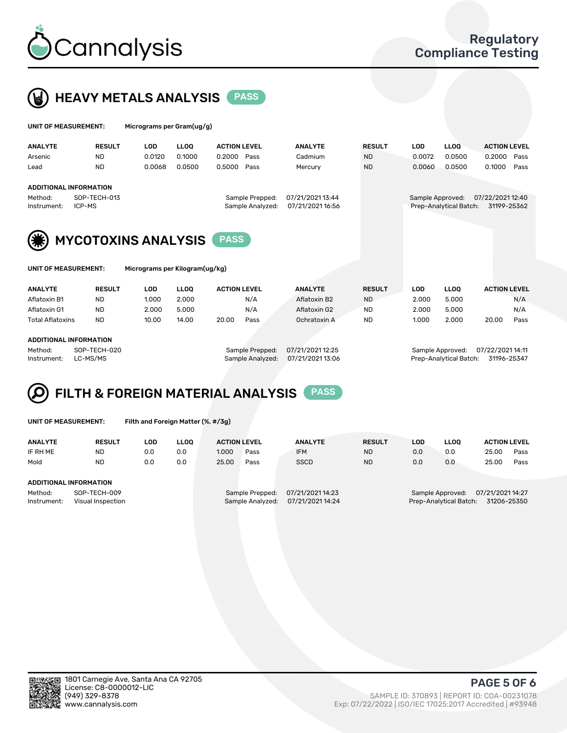



| UNIT OF MEASUREMENT:                                                              |                | Micrograms per Gram(ug/g) |            |             |                                     |                                      |                |               |                                            |                                 |                     |      |
|-----------------------------------------------------------------------------------|----------------|---------------------------|------------|-------------|-------------------------------------|--------------------------------------|----------------|---------------|--------------------------------------------|---------------------------------|---------------------|------|
|                                                                                   | <b>ANALYTE</b> | <b>RESULT</b>             | <b>LOD</b> | <b>LLOO</b> | <b>ACTION LEVEL</b>                 |                                      | <b>ANALYTE</b> | <b>RESULT</b> | LOD                                        | <b>LLOO</b>                     | <b>ACTION LEVEL</b> |      |
|                                                                                   | Arsenic        | ND.                       | 0.0120     | 0.1000      | 0.2000                              | Pass                                 | Cadmium        | <b>ND</b>     | 0.0072                                     | 0.0500                          | 0.2000              | Pass |
|                                                                                   | Lead           | ND.                       | 0.0068     | 0.0500      | 0.5000                              | Pass                                 | Mercury        | <b>ND</b>     | 0.0060                                     | 0.0500                          | 0.1000              | Pass |
| <b>ADDITIONAL INFORMATION</b><br>SOP-TECH-013<br>Method:<br>ICP-MS<br>Instrument: |                |                           |            |             | Sample Prepped:<br>Sample Analyzed: | 07/21/2021 13:44<br>07/21/2021 16:56 |                |               | Sample Approved:<br>Prep-Analytical Batch: | 07/22/2021 12:40<br>31199-25362 |                     |      |
| <b>MYCOTOXINS ANALYSIS</b><br><b>PASS</b>                                         |                |                           |            |             |                                     |                                      |                |               |                                            |                                 |                     |      |
| UNIT OF MEASUREMENT:<br>Micrograms per Kilogram(ug/kg)                            |                |                           |            |             |                                     |                                      |                |               |                                            |                                 |                     |      |

| <b>ANALYTE</b>         | <b>RESULT</b> | <b>LLOO</b><br>LOD |       | <b>ANALYTE</b><br><b>ACTION LEVEL</b> |      | <b>RESULT</b> | LOD       | <b>LLOO</b> | <b>ACTION LEVEL</b> |       |      |
|------------------------|---------------|--------------------|-------|---------------------------------------|------|---------------|-----------|-------------|---------------------|-------|------|
| Aflatoxin B1           | ND            | 1.000              | 2.000 |                                       | N/A  | Aflatoxin B2  | <b>ND</b> | 2.000       | 5.000               |       | N/A  |
| Aflatoxin G1           | <b>ND</b>     | 2.000              | 5.000 |                                       | N/A  | Aflatoxin G2  | <b>ND</b> | 2.000       | 5.000               |       | N/A  |
| Total Aflatoxins       | <b>ND</b>     | 10.00              | 14.00 | 20.00                                 | Pass | Ochratoxin A  | <b>ND</b> | 1.000       | 2.000               | 20.00 | Pass |
|                        |               |                    |       |                                       |      |               |           |             |                     |       |      |
| ADDITIONAL INFORMATION |               |                    |       |                                       |      |               |           |             |                     |       |      |

#### ADDITIONAL INFORMATION

Method: SOP-TECH-020 Sample Prepped: 07/21/2021 12:25 Sample Approved: 07/22/2021 14:11 Instrument: LC-MS/MS Sample Analyzed: 07/21/2021 13:06 Prep-Analytical Batch: 31196-25347

#### FILTH & FOREIGN MATERIAL ANALYSIS PASS Q

UNIT OF MEASUREMENT: Filth and Foreign Matter (%, #/3g)

| <b>ANALYTE</b>         | <b>RESULT</b>                     | LOD. | <b>LLOO</b> | <b>ACTION LEVEL</b>                                                         |      | <b>ANALYTE</b> | <b>RESULT</b> | LOD                                                                           | LLOO | <b>ACTION LEVEL</b> |      |  |
|------------------------|-----------------------------------|------|-------------|-----------------------------------------------------------------------------|------|----------------|---------------|-------------------------------------------------------------------------------|------|---------------------|------|--|
| IF RH ME               | <b>ND</b>                         | 0.0  | 0.0         | 1.000                                                                       | Pass | <b>IFM</b>     | <b>ND</b>     | 0.0                                                                           | 0.0  | 25.00               | Pass |  |
| Mold                   | <b>ND</b>                         | 0.0  | 0.0         | 25.00                                                                       | Pass | <b>SSCD</b>    | <b>ND</b>     | 0.0                                                                           | 0.0  | 25.00               | Pass |  |
| ADDITIONAL INFORMATION |                                   |      |             |                                                                             |      |                |               |                                                                               |      |                     |      |  |
| Method:<br>Instrument: | SOP-TECH-009<br>Visual Inspection |      |             | 07/21/2021 14:23<br>Sample Prepped:<br>07/21/2021 14:24<br>Sample Analyzed: |      |                |               | 07/21/2021 14:27<br>Sample Approved:<br>Prep-Analytical Batch:<br>31206-25350 |      |                     |      |  |



PAGE 5 OF 6